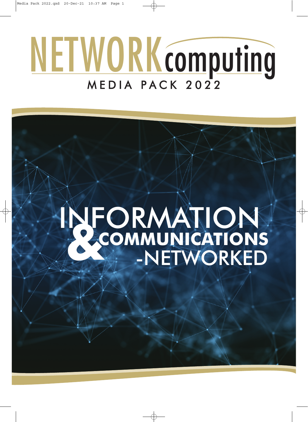# NETWORKcomputing M E D I A P A C K 2 0 2 2

## **&** COMMUNICATIONS **COMMUNICATIONS** INFORMATION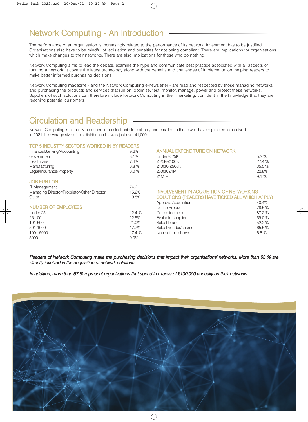## Network Computing - An Introduction

The performance of an organisation is increasingly related to the performance of its network. Investment has to be justified. Organisations also have to be mindful of legislation and penalties for not being compliant. There are implications for organisations which make changes to their networks. There are also implications for those who do nothing.

Network Computing aims to lead the debate, examine the hype and communicate best practice associated with all aspects of running a network. It covers the latest technology along with the benefits and challenges of implementation, helping readers to make better informed purchasing decisions.

Network Computing magazine - and the Network Computing e-newsletter - are read and respected by those managing networks and purchasing the products and services that run on, optimise, test, monitor, manage, power and protect these networks. Suppliers of such solutions can therefore include Network Computing in their marketing, confident in the knowledge that they are reaching potential customers.

## Circulation and Readership

Network Computing is currently produced in an electronic format only and emailed to those who have registered to receive it. In 2021 the average size of this distribution list was just over 41,000.

#### TOP 5 INDUSTRY SECTORS WORKED IN BY READERS

| Finance/Banking/Accounting                  | 9.6%  | <b>ANNUAL EXPENDITURE ON NETWORK</b>            |        |
|---------------------------------------------|-------|-------------------------------------------------|--------|
| Government                                  | 8.1%  | Under £ 25K                                     | 5.2%   |
| Healthcare                                  | 7.4%  | £ 25K-£100K                                     | 27.4 % |
| Manufacturing                               | 6.8%  | £100K-£500K                                     | 35.5 % |
| Legal/Insurance/Property                    | 6.0%  | £500K £1M                                       | 22.8%  |
|                                             |       | $£1M +$                                         | 9.1%   |
| <b>JOB FUNTION</b>                          |       |                                                 |        |
| <b>IT Management</b>                        | 74%   |                                                 |        |
| Managing Director/Proprietor/Other Director | 15.2% | <b>INVOLVEMENT IN ACQUISITION OF NETWORKING</b> |        |
| Other                                       | 10.8% | SOLUTIONS (READERS HAVE TICKED ALL WHICH APPLY) |        |
|                                             |       | Approve Acquisition                             | 40.4%  |
| <b>NUMBER OF EMPLOYEES</b>                  |       | Define Product                                  | 78.5%  |
| Under 25                                    | 12.4% | Determine need                                  | 87.2 % |
| 26-100                                      | 22.5% | Evaluate supplier                               | 59.0 % |
| 101-500                                     | 21.0% | Select brand                                    | 52.2 % |
| 501-1000                                    | 17.7% | Select vendor/source                            | 65.5.% |
| 1001-5000                                   | 17.4% | None of the above                               | 6.8%   |
| $5000 +$                                    | 9.0%  |                                                 |        |
|                                             |       |                                                 |        |

Readers of Network Computing make the purchasing decisions that impact their organisations' networks. More than 93 % are directly involved in the acquisition of network solutions.

In addition, more than 67 % represent organisations that spend in excess of £100,000 annually on their networks.